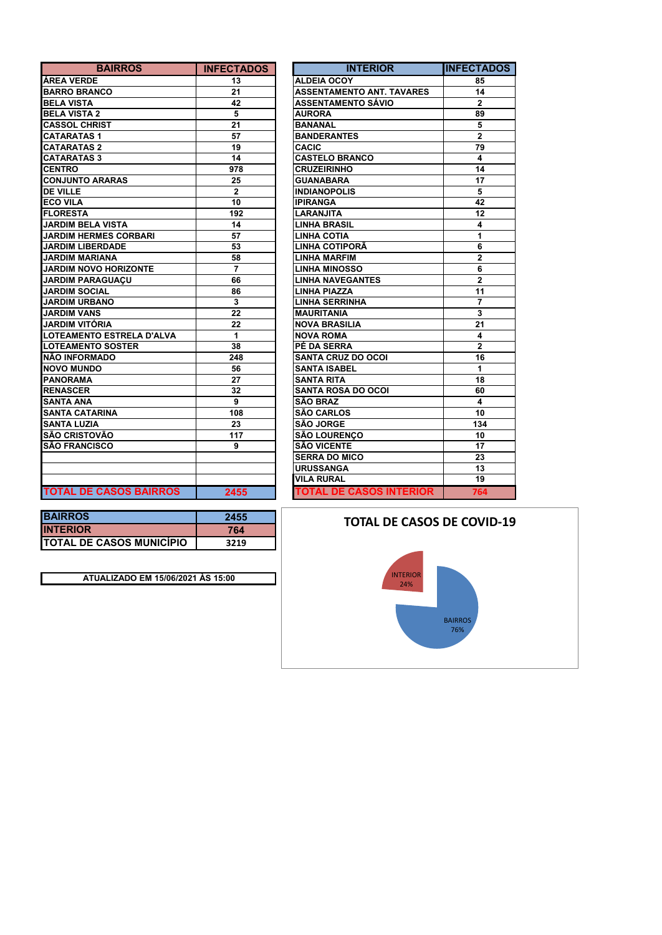| <b>BAIRROS</b>                | <b>INFECTADOS</b> | <b>INTERIOR</b>                  | <b>INFECTA</b>          |
|-------------------------------|-------------------|----------------------------------|-------------------------|
| <b>ÁREA VERDE</b>             | 13                | <b>ALDEIA OCOY</b>               | 85                      |
| <b>BARRO BRANCO</b>           | 21                | <b>ASSENTAMENTO ANT. TAVARES</b> | 14                      |
| <b>BELA VISTA</b>             | 42                | ASSENTAMENTO SÁVIO               | $\mathbf{2}$            |
| <b>BELA VISTA 2</b>           | 5                 | <b>AURORA</b>                    | 89                      |
| <b>CASSOL CHRIST</b>          | 21                | <b>BANANAL</b>                   | 5                       |
| <b>CATARATAS1</b>             | 57                | <b>BANDERANTES</b>               | $\overline{2}$          |
| <b>CATARATAS 2</b>            | 19                | <b>CACIC</b>                     | 79                      |
| <b>CATARATAS 3</b>            | 14                | <b>CASTELO BRANCO</b>            | 4                       |
| <b>CENTRO</b>                 | 978               | <b>CRUZEIRINHO</b>               | 14                      |
| <b>CONJUNTO ARARAS</b>        | 25                | <b>GUANABARA</b>                 | 17                      |
| <b>DE VILLE</b>               | $\mathbf{2}$      | <b>INDIANOPOLIS</b>              | 5                       |
| <b>ECO VILA</b>               | 10                | <b>IPIRANGA</b>                  | 42                      |
| <b>FLORESTA</b>               | 192               | <b>LARANJITA</b>                 | 12                      |
| <b>JARDIM BELA VISTA</b>      | 14                | <b>LINHA BRASIL</b>              | 4                       |
| <b>JARDIM HERMES CORBARI</b>  | 57                | <b>LINHA COTIA</b>               | $\mathbf{1}$            |
| <b>JARDIM LIBERDADE</b>       | 53                | LINHA COTIPORÃ                   | 6                       |
| <b>JARDIM MARIANA</b>         | 58                | <b>LINHA MARFIM</b>              | $\mathbf 2$             |
| <b>JARDIM NOVO HORIZONTE</b>  | $\overline{7}$    | <b>LINHA MINOSSO</b>             | 6                       |
| <b>JARDIM PARAGUAÇU</b>       | 66                | <b>LINHA NAVEGANTES</b>          | $\overline{2}$          |
| <b>JARDIM SOCIAL</b>          | 86                | <b>LINHA PIAZZA</b>              | 11                      |
| <b>JARDIM URBANO</b>          | 3                 | <b>LINHA SERRINHA</b>            | $\overline{7}$          |
| <b>JARDIM VANS</b>            | 22                | <b>MAURITANIA</b>                | $\overline{\mathbf{3}}$ |
| <b>JARDIM VITÓRIA</b>         | 22                | <b>NOVA BRASILIA</b>             | 21                      |
| LOTEAMENTO ESTRELA D'ALVA     | 1                 | <b>NOVA ROMA</b>                 | 4                       |
| <b>LOTEAMENTO SOSTER</b>      | 38                | PÉ DA SERRA                      | $\overline{2}$          |
| <b>NÃO INFORMADO</b>          | 248               | <b>SANTA CRUZ DO OCOI</b>        | 16                      |
| <b>NOVO MUNDO</b>             | 56                | <b>SANTA ISABEL</b>              | 1                       |
| <b>PANORAMA</b>               | 27                | <b>SANTA RITA</b>                | 18                      |
| <b>RENASCER</b>               | 32                | <b>SANTA ROSA DO OCOI</b>        | 60                      |
| <b>SANTA ANA</b>              | 9                 | <b>SÃO BRAZ</b>                  | 4                       |
| <b>SANTA CATARINA</b>         | 108               | <b>SÃO CARLOS</b>                | 10                      |
| <b>SANTA LUZIA</b>            | 23                | <b>SÃO JORGE</b>                 | 134                     |
| <b>ISÃO CRISTOVÃO</b>         | 117               | <b>SÃO LOURENCO</b>              | 10                      |
| <b>SÃO FRANCISCO</b>          | 9                 | <b>SÃO VICENTE</b>               | 17                      |
|                               |                   | <b>SERRA DO MICO</b>             | 23                      |
|                               |                   | <b>URUSSANGA</b>                 | 13                      |
|                               |                   | <b>VILA RURAL</b>                | 19                      |
| <b>TOTAL DE CASOS BAIRROS</b> | 2455              | <b>TOTAL DE CASOS INTERIOR</b>   | 764                     |

| <b>BAIRROS</b>          | <b>INFECTADOS</b> | <b>INTERIOR</b>                  | <b>INFECTADOS</b> |
|-------------------------|-------------------|----------------------------------|-------------------|
|                         | 13                | <b>ALDEIA OCOY</b>               | 85                |
| <b>NCO</b>              | 21                | <b>ASSENTAMENTO ANT. TAVARES</b> | 14                |
|                         | 42                | <b>ASSENTAMENTO SÁVIO</b>        | $\overline{2}$    |
| $\overline{a}$          | 5                 | <b>AURORA</b>                    | 89                |
| ‼ST                     | 21                | <b>BANANAL</b>                   | 5                 |
| 1                       | 57                | <b>BANDERANTES</b>               | $\overline{2}$    |
| $\mathbf 2$             | 19                | <b>CACIC</b>                     | 79                |
| $\overline{\mathbf{3}}$ | 14                | <b>CASTELO BRANCO</b>            | 4                 |
|                         | 978               | <b>CRUZEIRINHO</b>               | 14                |
| RARAS                   | 25                | <b>GUANABARA</b>                 | 17                |
|                         | $\overline{2}$    | <b>INDIANOPOLIS</b>              | 5                 |
|                         | 10                | <b>IPIRANGA</b>                  | 42                |
|                         | 192               | <b>LARANJITA</b>                 | 12                |
| A VISTA                 | 14                | <b>LINHA BRASIL</b>              | 4                 |
| <b>MES CORBARI</b>      | 57                | <b>LINHA COTIA</b>               | 1                 |
| <b>RDADE</b>            | 53                | <b>LINHA COTIPORÃ</b>            | 6                 |
| <b>ANA</b>              | 58                | <b>LINHA MARFIM</b>              | $\overline{2}$    |
| <b>O HORIZONTE</b>      | 7                 | <b>LINHA MINOSSO</b>             | 6                 |
| <b>AGUACU</b>           | 66                | <b>LINHA NAVEGANTES</b>          | $\overline{2}$    |
| <b>IAL</b>              | 86                | <b>LINHA PIAZZA</b>              | 11                |
| <b>ANO</b>              | 3                 | <b>LINHA SERRINHA</b>            | $\overline{7}$    |
| S.                      | 22                | <b>MAURITANIA</b>                | 3                 |
| <b>RIA</b>              | 22                | <b>NOVA BRASILIA</b>             | 21                |
| O ESTRELA D'ALVA        | 1                 | <b>NOVA ROMA</b>                 | 4                 |
| <b>O SOSTER</b>         | 38                | PÉ DA SERRA                      | $\overline{2}$    |
| <b>ADO</b>              | 248               | <b>SANTA CRUZ DO OCOI</b>        | 16                |
| ٥                       | 56                | <b>SANTA ISABEL</b>              | 1                 |
|                         | 27                | <b>SANTA RITA</b>                | 18                |
|                         | 32                | <b>SANTA ROSA DO OCOI</b>        | 60                |
|                         | 9                 | <b>SÃO BRAZ</b>                  | 4                 |
| <b>RINA</b>             | 108               | <b>SÃO CARLOS</b>                | 10                |
|                         | 23                | <b>SÃO JORGE</b>                 | 134               |
| VÃO                     | 117               | <b>SÃO LOURENÇO</b>              | 10                |
| sco                     | 9                 | <b>SÃO VICENTE</b>               | 17                |
|                         |                   | <b>SERRA DO MICO</b>             | 23                |
|                         |                   | <b>URUSSANGA</b>                 | 13                |
|                         |                   | <b>VILA RURAL</b>                | 19                |
| <b>CASOS BAIRROS</b>    | 2455              | <b>TOTAL DE CASOS INTERIOR</b>   | 764               |

| <b>BAIRROS</b>                  | 2455 |
|---------------------------------|------|
| <b>INTERIOR</b>                 | 764  |
| <b>TOTAL DE CASOS MUNICÍPIO</b> | 3219 |
|                                 |      |

**ATUALIZADO EM 15/06/2021 ÀS 15:00**

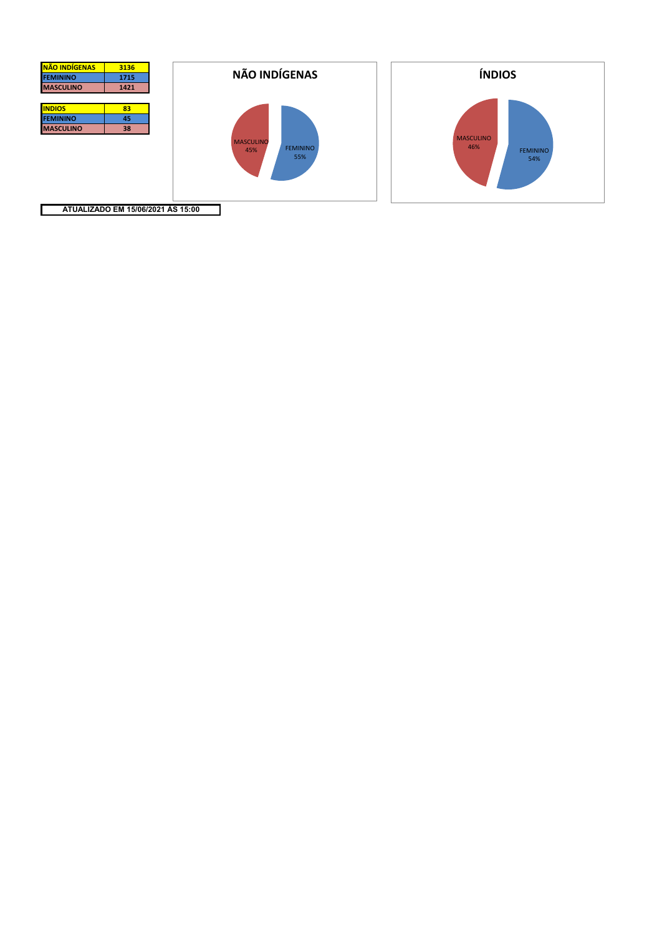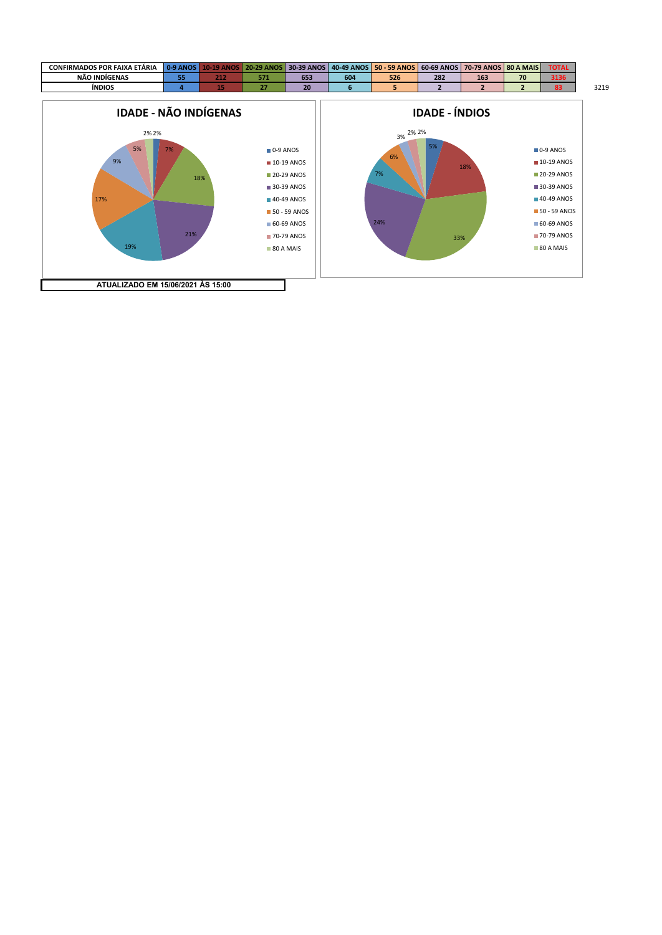

**ATUALIZADO EM 15/06/2021 ÀS 15:00**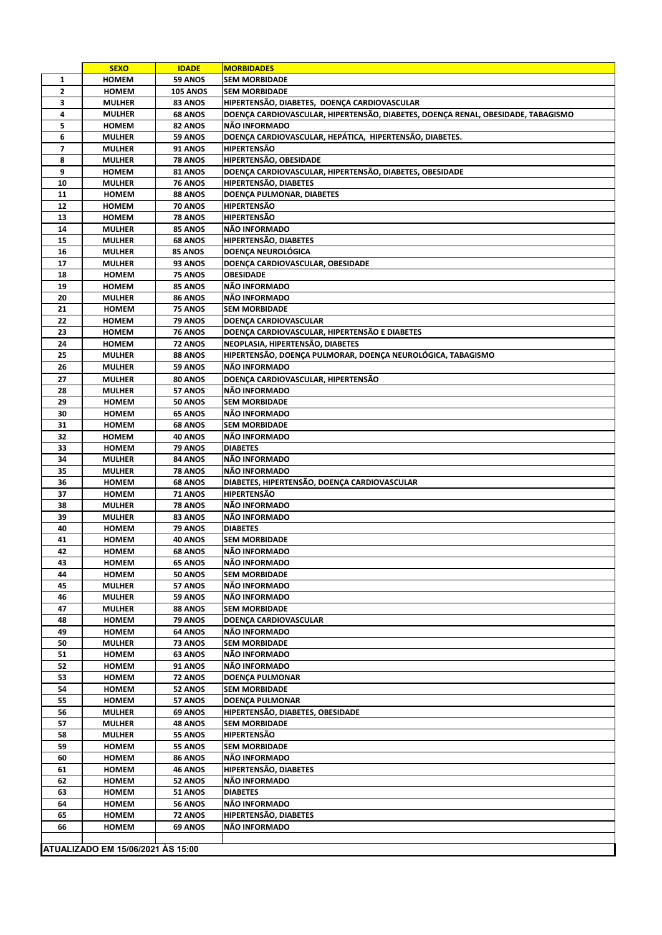|                | <b>SEXO</b>                       | <b>IDADE</b>       | <b>MORBIDADES</b>                                                                |  |
|----------------|-----------------------------------|--------------------|----------------------------------------------------------------------------------|--|
| 1              | <b>HOMEM</b>                      | 59 ANOS            | <b>SEM MORBIDADE</b>                                                             |  |
| $\overline{2}$ | <b>HOMEM</b>                      | <b>105 ANOS</b>    | <b>SEM MORBIDADE</b>                                                             |  |
| 3              | <b>MULHER</b>                     | <b>83 ANOS</b>     | HIPERTENSÃO, DIABETES, DOENÇA CARDIOVASCULAR                                     |  |
| 4              | <b>MULHER</b>                     | <b>68 ANOS</b>     | DOENÇA CARDIOVASCULAR, HIPERTENSÃO, DIABETES, DOENÇA RENAL, OBESIDADE, TABAGISMO |  |
| 5              | <b>HOMEM</b>                      | 82 ANOS            | NÃO INFORMADO                                                                    |  |
| 6              | <b>MULHER</b>                     | 59 ANOS            | DOENÇA CARDIOVASCULAR, HEPÁTICA, HIPERTENSÃO, DIABETES.                          |  |
| 7              | <b>MULHER</b>                     | <b>91 ANOS</b>     | <b>HIPERTENSÃO</b>                                                               |  |
| 8              | <b>MULHER</b>                     | 78 ANOS            | HIPERTENSÃO, OBESIDADE                                                           |  |
| 9              | <b>HOMEM</b>                      | 81 ANOS            | DOENÇA CARDIOVASCULAR, HIPERTENSÃO, DIABETES, OBESIDADE                          |  |
| 10             | <b>MULHER</b>                     | 76 ANOS            | HIPERTENSÃO, DIABETES                                                            |  |
| 11             | <b>HOMEM</b>                      | <b>88 ANOS</b>     | DOENCA PULMONAR, DIABETES                                                        |  |
| 12             | <b>HOMEM</b>                      | <b>70 ANOS</b>     | <b>HIPERTENSÃO</b>                                                               |  |
| 13             | <b>HOMEM</b>                      | <b>78 ANOS</b>     | <b>HIPERTENSÃO</b>                                                               |  |
| 14             | <b>MULHER</b>                     | <b>85 ANOS</b>     | NÃO INFORMADO                                                                    |  |
| 15             | <b>MULHER</b>                     | <b>68 ANOS</b>     | HIPERTENSÃO, DIABETES                                                            |  |
| 16             | <b>MULHER</b>                     | 85 ANOS            | DOENÇA NEUROLÓGICA                                                               |  |
| 17             | <b>MULHER</b>                     | 93 ANOS            | DOENÇA CARDIOVASCULAR, OBESIDADE                                                 |  |
| 18             | <b>HOMEM</b>                      | <b>75 ANOS</b>     | OBESIDADE                                                                        |  |
| 19             | <b>HOMEM</b>                      | 85 ANOS            | NÃO INFORMADO                                                                    |  |
| 20             | <b>MULHER</b>                     | 86 ANOS            | NÃO INFORMADO                                                                    |  |
| 21             | <b>HOMEM</b>                      | 75 ANOS            | <b>SEM MORBIDADE</b>                                                             |  |
| 22             | <b>HOMEM</b>                      | 79 ANOS            | DOENÇA CARDIOVASCULAR                                                            |  |
| 23             | <b>HOMEM</b>                      | <b>76 ANOS</b>     | DOENÇA CARDIOVASCULAR, HIPERTENSÃO E DIABETES                                    |  |
| 24             | <b>HOMEM</b>                      | 72 ANOS            | NEOPLASIA, HIPERTENSÃO, DIABETES                                                 |  |
| 25             | <b>MULHER</b>                     | 88 ANOS            | HIPERTENSÃO, DOENÇA PULMORAR, DOENÇA NEUROLÓGICA, TABAGISMO                      |  |
| 26             | <b>MULHER</b>                     | 59 ANOS            | NÃO INFORMADO                                                                    |  |
| 27             | <b>MULHER</b>                     | 80 ANOS            | DOENÇA CARDIOVASCULAR, HIPERTENSÃO                                               |  |
| 28             | <b>MULHER</b>                     | 57 ANOS            | NÃO INFORMADO                                                                    |  |
| 29             | <b>HOMEM</b>                      | 50 ANOS            | <b>SEM MORBIDADE</b>                                                             |  |
| 30             | <b>HOMEM</b>                      | <b>65 ANOS</b>     | NÃO INFORMADO                                                                    |  |
| 31<br>32       | <b>HOMEM</b>                      | <b>68 ANOS</b>     | <b>SEM MORBIDADE</b><br>NÃO INFORMADO                                            |  |
|                | HOMEM                             | 40 ANOS            |                                                                                  |  |
| 33<br>34       | <b>HOMEM</b><br><b>MULHER</b>     | 79 ANOS<br>84 ANOS | <b>DIABETES</b><br>NÃO INFORMADO                                                 |  |
| 35             | <b>MULHER</b>                     | <b>78 ANOS</b>     | NÃO INFORMADO                                                                    |  |
| 36             | <b>HOMEM</b>                      | <b>68 ANOS</b>     | DIABETES, HIPERTENSÃO, DOENÇA CARDIOVASCULAR                                     |  |
| 37             | <b>HOMEM</b>                      | <b>71 ANOS</b>     | HIPERTENSÃO                                                                      |  |
| 38             | <b>MULHER</b>                     | <b>78 ANOS</b>     | NÃO INFORMADO                                                                    |  |
| 39             | <b>MULHER</b>                     | <b>83 ANOS</b>     | NÃO INFORMADO                                                                    |  |
| 40             | <b>HOMEM</b>                      | 79 ANOS            | <b>DIABETES</b>                                                                  |  |
| 41             | <b>HOMEM</b>                      | 40 ANOS            | <b>SEM MORBIDADE</b>                                                             |  |
| 42             | <b>HOMEM</b>                      | <b>68 ANOS</b>     | NÃO INFORMADO                                                                    |  |
| 43             | <b>HOMEM</b>                      | 65 ANOS            | NÃO INFORMADO                                                                    |  |
| 44             | <b>HOMEM</b>                      | 50 ANOS            | <b>SEM MORBIDADE</b>                                                             |  |
| 45             | <b>MULHER</b>                     | 57 ANOS            | NÃO INFORMADO                                                                    |  |
| 46             | <b>MULHER</b>                     | 59 ANOS            | NÃO INFORMADO                                                                    |  |
| 47             | <b>MULHER</b>                     | <b>88 ANOS</b>     | <b>SEM MORBIDADE</b>                                                             |  |
| 48             | <b>HOMEM</b>                      | 79 ANOS            | DOENÇA CARDIOVASCULAR                                                            |  |
| 49             | <b>HOMEM</b>                      | <b>64 ANOS</b>     | NÃO INFORMADO                                                                    |  |
| 50             | <b>MULHER</b>                     | 73 ANOS            | <b>SEM MORBIDADE</b>                                                             |  |
| 51             | <b>HOMEM</b>                      | <b>63 ANOS</b>     | NÃO INFORMADO                                                                    |  |
| 52             | <b>HOMEM</b>                      | 91 ANOS            | NÃO INFORMADO                                                                    |  |
| 53             | <b>HOMEM</b>                      | <b>72 ANOS</b>     | <b>DOENÇA PULMONAR</b>                                                           |  |
| 54             | <b>HOMEM</b>                      | 52 ANOS            | <b>SEM MORBIDADE</b>                                                             |  |
| 55             | <b>HOMEM</b>                      | 57 ANOS            | <b>DOENÇA PULMONAR</b>                                                           |  |
| 56             | <b>MULHER</b>                     | 69 ANOS            | HIPERTENSÃO, DIABETES, OBESIDADE                                                 |  |
| 57             | <b>MULHER</b>                     | 48 ANOS            | <b>SEM MORBIDADE</b>                                                             |  |
| 58             | <b>MULHER</b>                     | <b>55 ANOS</b>     | <b>HIPERTENSÃO</b>                                                               |  |
| 59             | <b>HOMEM</b>                      | 55 ANOS            | <b>SEM MORBIDADE</b>                                                             |  |
| 60             | <b>HOMEM</b>                      | <b>86 ANOS</b>     | NÃO INFORMADO                                                                    |  |
| 61             | <b>HOMEM</b>                      | 46 ANOS            | HIPERTENSÃO, DIABETES                                                            |  |
| 62             | <b>HOMEM</b>                      | <b>52 ANOS</b>     | NÃO INFORMADO                                                                    |  |
| 63             | <b>HOMEM</b>                      | 51 ANOS            | <b>DIABETES</b>                                                                  |  |
| 64             | <b>HOMEM</b>                      | 56 ANOS            | NÃO INFORMADO                                                                    |  |
| 65             | <b>HOMEM</b>                      | <b>72 ANOS</b>     | HIPERTENSÃO, DIABETES                                                            |  |
| 66             | HOMEM                             | 69 ANOS            | NÃO INFORMADO                                                                    |  |
|                |                                   |                    |                                                                                  |  |
|                | ATUALIZADO EM 15/06/2021 ÀS 15:00 |                    |                                                                                  |  |